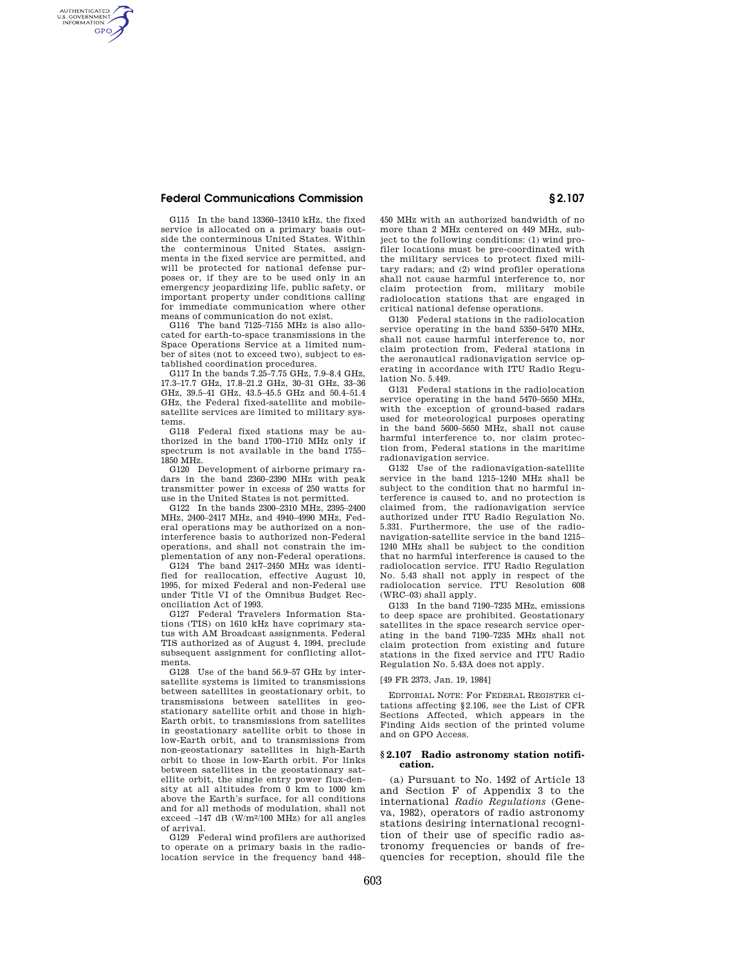## **Federal Communications Commission § 2.107**

AUTHENTICATED<br>U.S. GOVERNMENT<br>INFORMATION **GPO** 

> G115 In the band 13360–13410 kHz, the fixed service is allocated on a primary basis outside the conterminous United States. Within the conterminous United States, assignments in the fixed service are permitted, and will be protected for national defense purposes or, if they are to be used only in an emergency jeopardizing life, public safety, or important property under conditions calling for immediate communication where other means of communication do not exist.

> G116 The band 7125–7155 MHz is also allocated for earth-to-space transmissions in the Space Operations Service at a limited number of sites (not to exceed two), subject to established coordination procedures.

> G117 In the bands 7.25–7.75 GHz, 7.9–8.4 GHz, 17.3–17.7 GHz, 17.8–21.2 GHz, 30–31 GHz, 33–36 GHz, 39.5–41 GHz, 43.5–45.5 GHz and 50.4–51.4 GHz, the Federal fixed-satellite and mobilesatellite services are limited to military systems.

> G118 Federal fixed stations may be authorized in the band 1700–1710 MHz only if spectrum is not available in the band 1755– 1850 MHz.

> G120 Development of airborne primary radars in the band 2360–2390 MHz with peak transmitter power in excess of 250 watts for use in the United States is not permitted.

> G122 In the bands 2300–2310 MHz, 2395–2400 MHz, 2400–2417 MHz, and 4940–4990 MHz, Federal operations may be authorized on a noninterference basis to authorized non-Federal operations, and shall not constrain the implementation of any non-Federal operations.

> G124 The band 2417–2450 MHz was identified for reallocation, effective August 10, 1995, for mixed Federal and non-Federal use under Title VI of the Omnibus Budget Reconciliation Act of 1993.

> G127 Federal Travelers Information Stations (TIS) on 1610 kHz have coprimary status with AM Broadcast assignments. Federal TIS authorized as of August 4, 1994, preclude subsequent assignment for conflicting allotments.

> G128 Use of the band 56.9–57 GHz by intersatellite systems is limited to transmissions between satellites in geostationary orbit, to transmissions between satellites in geostationary satellite orbit and those in high-Earth orbit, to transmissions from satellites in geostationary satellite orbit to those in low-Earth orbit, and to transmissions from non-geostationary satellites in high-Earth orbit to those in low-Earth orbit. For links between satellites in the geostationary satellite orbit, the single entry power flux-density at all altitudes from 0 km to 1000 km above the Earth's surface, for all conditions and for all methods of modulation, shall not  $exceed -147 dB (W/m<sup>2</sup>/100 MHz) for all angles$ of arrival.

> G129 Federal wind profilers are authorized to operate on a primary basis in the radiolocation service in the frequency band 448–

450 MHz with an authorized bandwidth of no more than 2 MHz centered on 449 MHz, subject to the following conditions: (1) wind profiler locations must be pre-coordinated with the military services to protect fixed military radars; and (2) wind profiler operations shall not cause harmful interference to, nor claim protection from, military mobile radiolocation stations that are engaged in critical national defense operations.

G130 Federal stations in the radiolocation service operating in the band 5350–5470 MHz, shall not cause harmful interference to, nor claim protection from, Federal stations in the aeronautical radionavigation service operating in accordance with ITU Radio Regulation No. 5.449.

G131 Federal stations in the radiolocation service operating in the band 5470–5650 MHz, with the exception of ground-based radars used for meteorological purposes operating in the band 5600–5650 MHz, shall not cause harmful interference to, nor claim protection from, Federal stations in the maritime radionavigation service.

G132 Use of the radionavigation-satellite service in the band 1215–1240 MHz shall be subject to the condition that no harmful interference is caused to, and no protection is claimed from, the radionavigation service authorized under ITU Radio Regulation No. 5.331. Furthermore, the use of the radionavigation-satellite service in the band 1215– 1240 MHz shall be subject to the condition that no harmful interference is caused to the radiolocation service. ITU Radio Regulation No. 5.43 shall not apply in respect of the radiolocation service. ITU Resolution 608 (WRC–03) shall apply.

G133 In the band 7190–7235 MHz, emissions to deep space are prohibited. Geostationary satellites in the space research service operating in the band 7190–7235 MHz shall not claim protection from existing and future stations in the fixed service and ITU Radio Regulation No. 5.43A does not apply.

[49 FR 2373, Jan. 19, 1984]

EDITORIAL NOTE: For FEDERAL REGISTER citations affecting §2.106, see the List of CFR Sections Affected, which appears in the Finding Aids section of the printed volume and on GPO Access.

### **§ 2.107 Radio astronomy station notification.**

(a) Pursuant to No. 1492 of Article 13 and Section F of Appendix 3 to the international *Radio Regulations* (Geneva, 1982), operators of radio astronomy stations desiring international recognition of their use of specific radio astronomy frequencies or bands of frequencies for reception, should file the